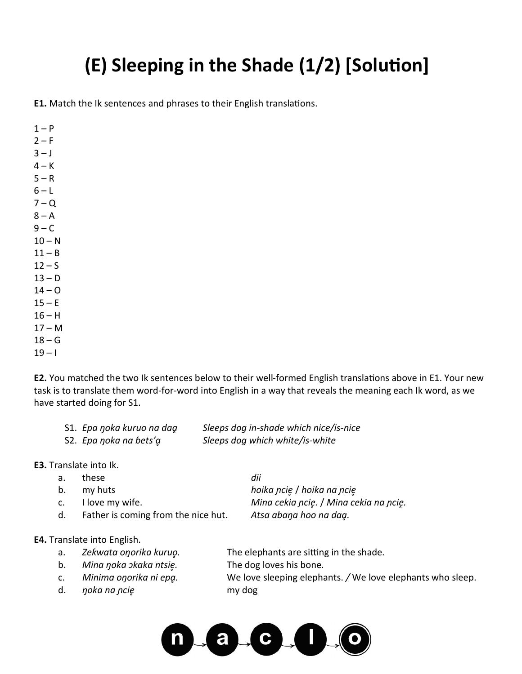## **(E) Sleeping in the Shade (1/2) [Solution]**

**E1.** Match the Ik sentences and phrases to their English translations.

 $1 - P$  $2-F$  $3 - J$  $4 - K$  $5 - R$  $6 - L$  $7 - Q$  $8 - A$  $9 - C$  $10 - N$  $11 - B$  $12 - S$  $13 - D$  $14 - 0$  $15 - E$  $16 - H$  $17 - M$  $18 - G$  $19 - 1$ 

**E2.** You matched the two Ik sentences below to their well-formed English translations above in E1. Your new task is to translate them word-for-word into English in a way that reveals the meaning each Ik word, as we have started doing for S1.

| S1. Epa noka kuruo na dag | Sleeps dog in-shade which nice/is-nice |
|---------------------------|----------------------------------------|
| S2. Epa noka na bets'a    | Sleeps dog which white/is-white        |

**E3.** Translate into Ik.

| а. | these                               | dii                                    |
|----|-------------------------------------|----------------------------------------|
| b. | my huts                             | hoika ncie / hoika na ncie             |
| C. | I love my wife.                     | Mina cekia ncię. / Mina cekia na ncie. |
| d. | Father is coming from the nice hut. | Atsa abana hoo na dag.                 |
|    |                                     |                                        |
|    | ranslate into English.              |                                        |

## **E4.** Translate into English.

- a. *Zeƙwata oŋorika kuruo̥.* The elephants are sitting in the shade*.*
- b. *Mina ŋoka ɔkaka ntsie̥.* The dog loves his bone*.*
- 
- d. *ŋoka na ɲcie̥* my dog
- 
- 
- c. *Minima oŋorika ni epḁ.* We love sleeping elephants. */* We love elephants who sleep.